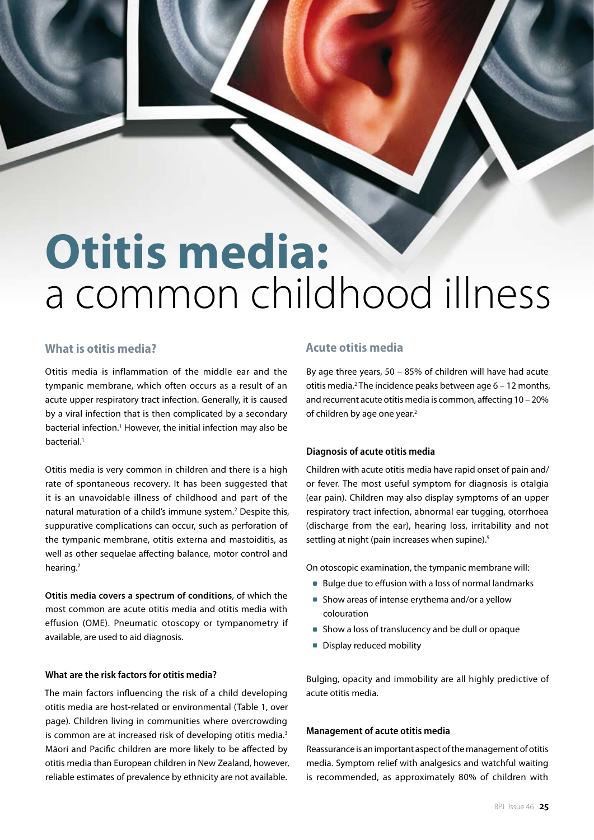# **Otitis media:** a common childhood illness

## **What is otitis media?**

Otitis media is inflammation of the middle ear and the tympanic membrane, which often occurs as a result of an acute upper respiratory tract infection. Generally, it is caused by a viral infection that is then complicated by a secondary bacterial infection.<sup>1</sup> However, the initial infection may also be bacterial.<sup>1</sup>

Otitis media is very common in children and there is a high rate of spontaneous recovery. It has been suggested that it is an unavoidable illness of childhood and part of the natural maturation of a child's immune system.<sup>2</sup> Despite this, suppurative complications can occur, such as perforation of the tympanic membrane, otitis externa and mastoiditis, as well as other sequelae affecting balance, motor control and hearing.2

**Otitis media covers a spectrum of conditions**, of which the most common are acute otitis media and otitis media with effusion (OME). Pneumatic otoscopy or tympanometry if available, are used to aid diagnosis.

#### **What are the risk factors for otitis media?**

The main factors influencing the risk of a child developing otitis media are host-related or environmental (Table 1, over page). Children living in communities where overcrowding is common are at increased risk of developing otitis media.<sup>3</sup> Māori and Pacific children are more likely to be affected by otitis media than European children in New Zealand, however, reliable estimates of prevalence by ethnicity are not available.

## **Acute otitis media**

By age three years, 50 – 85% of children will have had acute otitis media.<sup>2</sup> The incidence peaks between age 6 - 12 months, and recurrent acute otitis media is common, affecting 10 – 20% of children by age one year.<sup>2</sup>

### **Diagnosis of acute otitis media**

Children with acute otitis media have rapid onset of pain and/ or fever. The most useful symptom for diagnosis is otalgia (ear pain). Children may also display symptoms of an upper respiratory tract infection, abnormal ear tugging, otorrhoea (discharge from the ear), hearing loss, irritability and not settling at night (pain increases when supine).<sup>5</sup>

On otoscopic examination, the tympanic membrane will:

- Bulge due to effusion with a loss of normal landmarks
- Show areas of intense erythema and/or a yellow colouration
- **Show a loss of translucency and be dull or opaque**
- **Display reduced mobility**

Bulging, opacity and immobility are all highly predictive of acute otitis media.

#### **Management of acute otitis media**

Reassurance is an important aspect of the management of otitis media. Symptom relief with analgesics and watchful waiting is recommended, as approximately 80% of children with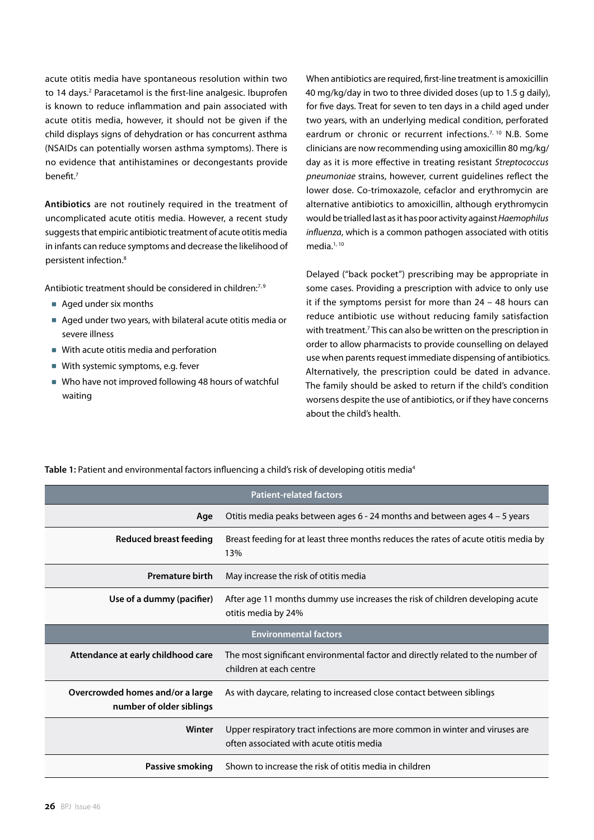acute otitis media have spontaneous resolution within two to 14 days.<sup>2</sup> Paracetamol is the first-line analgesic. Ibuprofen is known to reduce inflammation and pain associated with acute otitis media, however, it should not be given if the child displays signs of dehydration or has concurrent asthma (NSAIDs can potentially worsen asthma symptoms). There is no evidence that antihistamines or decongestants provide benefit.7

**Antibiotics** are not routinely required in the treatment of uncomplicated acute otitis media. However, a recent study suggests that empiric antibiotic treatment of acute otitis media in infants can reduce symptoms and decrease the likelihood of persistent infection.8

Antibiotic treatment should be considered in children:<sup>7,9</sup>

- Aged under six months
- Aged under two years, with bilateral acute otitis media or severe illness
- With acute otitis media and perforation
- With systemic symptoms, e.g. fever
- Who have not improved following 48 hours of watchful waiting

When antibiotics are required, first-line treatment is amoxicillin 40 mg/kg/day in two to three divided doses (up to 1.5 g daily), for five days. Treat for seven to ten days in a child aged under two years, with an underlying medical condition, perforated eardrum or chronic or recurrent infections.<sup>7, 10</sup> N.B. Some clinicians are now recommending using amoxicillin 80 mg/kg/ day as it is more effective in treating resistant *Streptococcus pneumoniae* strains, however, current guidelines reflect the lower dose. Co-trimoxazole, cefaclor and erythromycin are alternative antibiotics to amoxicillin, although erythromycin would be trialled last as it has poor activity against *Haemophilus influenza*, which is a common pathogen associated with otitis media.<sup>1, 10</sup>

Delayed ("back pocket") prescribing may be appropriate in some cases. Providing a prescription with advice to only use it if the symptoms persist for more than 24 – 48 hours can reduce antibiotic use without reducing family satisfaction with treatment.<sup>7</sup> This can also be written on the prescription in order to allow pharmacists to provide counselling on delayed use when parents request immediate dispensing of antibiotics. Alternatively, the prescription could be dated in advance. The family should be asked to return if the child's condition worsens despite the use of antibiotics, or if they have concerns about the child's health.

| <b>Patient-related factors</b>                               |                                                                                                                          |
|--------------------------------------------------------------|--------------------------------------------------------------------------------------------------------------------------|
| Age                                                          | Otitis media peaks between ages 6 - 24 months and between ages 4 - 5 years                                               |
| Reduced breast feeding                                       | Breast feeding for at least three months reduces the rates of acute otitis media by<br>13%                               |
| <b>Premature birth</b>                                       | May increase the risk of otitis media                                                                                    |
| Use of a dummy (pacifier)                                    | After age 11 months dummy use increases the risk of children developing acute<br>otitis media by 24%                     |
| <b>Environmental factors</b>                                 |                                                                                                                          |
| Attendance at early childhood care                           | The most significant environmental factor and directly related to the number of<br>children at each centre               |
| Overcrowded homes and/or a large<br>number of older siblings | As with daycare, relating to increased close contact between siblings                                                    |
| Winter                                                       | Upper respiratory tract infections are more common in winter and viruses are<br>often associated with acute otitis media |
| Passive smoking                                              | Shown to increase the risk of otitis media in children                                                                   |

**Table 1:** Patient and environmental factors influencing a child's risk of developing otitis media4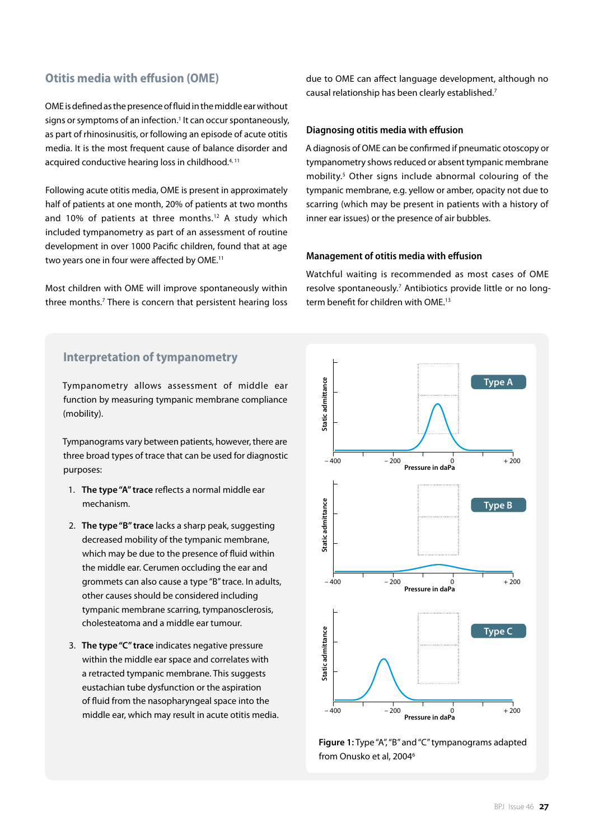## **Otitis media with effusion (OME)**

OME is defined as the presence of fluid in the middle ear without signs or symptoms of an infection.<sup>1</sup> It can occur spontaneously, as part of rhinosinusitis, or following an episode of acute otitis media. It is the most frequent cause of balance disorder and acquired conductive hearing loss in childhood.<sup>4, 11</sup>

Following acute otitis media, OME is present in approximately half of patients at one month, 20% of patients at two months and 10% of patients at three months.12 A study which included tympanometry as part of an assessment of routine development in over 1000 Pacific children, found that at age two years one in four were affected by OME.<sup>11</sup>

Most children with OME will improve spontaneously within three months.<sup>7</sup> There is concern that persistent hearing loss due to OME can affect language development, although no causal relationship has been clearly established.7

#### **Diagnosing otitis media with effusion**

A diagnosis of OME can be confirmed if pneumatic otoscopy or tympanometry shows reduced or absent tympanic membrane mobility.5 Other signs include abnormal colouring of the tympanic membrane, e.g. yellow or amber, opacity not due to scarring (which may be present in patients with a history of inner ear issues) or the presence of air bubbles.

#### **Management of otitis media with effusion**

Watchful waiting is recommended as most cases of OME resolve spontaneously.<sup>7</sup> Antibiotics provide little or no longterm benefit for children with OME.<sup>13</sup>

## **Interpretation of tympanometry**

Tympanometry allows assessment of middle ear function by measuring tympanic membrane compliance (mobility).

Tympanograms vary between patients, however, there are three broad types of trace that can be used for diagnostic purposes:

- 1. **The type "A" trace** reflects a normal middle ear mechanism.
- 2. **The type "B" trace** lacks a sharp peak, suggesting decreased mobility of the tympanic membrane, which may be due to the presence of fluid within the middle ear. Cerumen occluding the ear and grommets can also cause a type "B" trace. In adults, other causes should be considered including tympanic membrane scarring, tympanosclerosis, cholesteatoma and a middle ear tumour.
- 3. **The type "C" trace** indicates negative pressure within the middle ear space and correlates with a retracted tympanic membrane. This suggests eustachian tube dysfunction or the aspiration of fluid from the nasopharyngeal space into the middle ear, which may result in acute otitis media.



**Figure 1:** Type "A", "B" and "C" tympanograms adapted from Onusko et al, 2004<sup>6</sup>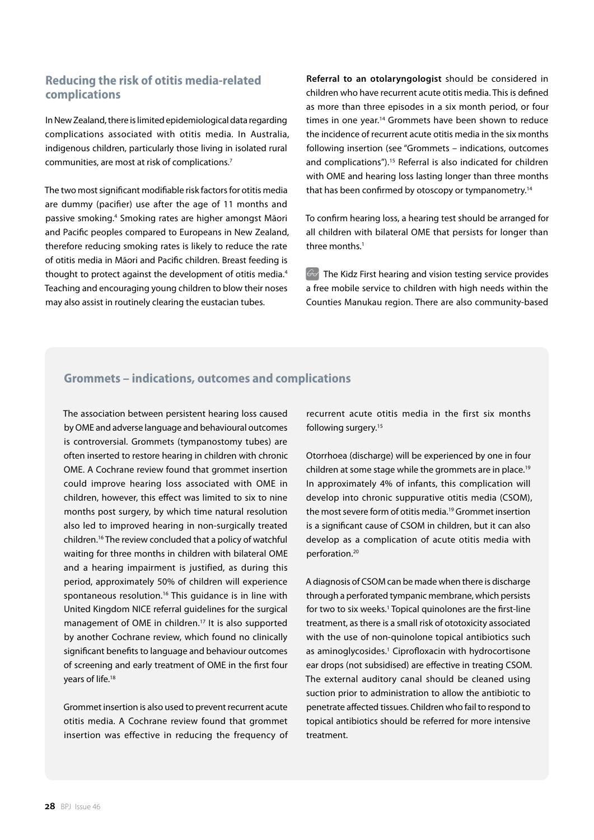## **Reducing the risk of otitis media-related complications**

In New Zealand, there is limited epidemiological data regarding complications associated with otitis media. In Australia, indigenous children, particularly those living in isolated rural communities, are most at risk of complications.7

The two most significant modifiable risk factors for otitis media are dummy (pacifier) use after the age of 11 months and passive smoking.4 Smoking rates are higher amongst Māori and Pacific peoples compared to Europeans in New Zealand, therefore reducing smoking rates is likely to reduce the rate of otitis media in Māori and Pacific children. Breast feeding is thought to protect against the development of otitis media.<sup>4</sup> Teaching and encouraging young children to blow their noses may also assist in routinely clearing the eustacian tubes.

**Referral to an otolaryngologist** should be considered in children who have recurrent acute otitis media. This is defined as more than three episodes in a six month period, or four times in one year.<sup>14</sup> Grommets have been shown to reduce the incidence of recurrent acute otitis media in the six months following insertion (see "Grommets – indications, outcomes and complications").<sup>15</sup> Referral is also indicated for children with OME and hearing loss lasting longer than three months that has been confirmed by otoscopy or tympanometry.<sup>14</sup>

To confirm hearing loss, a hearing test should be arranged for all children with bilateral OME that persists for longer than three months.<sup>1</sup>

The Kidz First hearing and vision testing service provides a free mobile service to children with high needs within the Counties Manukau region. There are also community-based

## **Grommets – indications, outcomes and complications**

The association between persistent hearing loss caused by OME and adverse language and behavioural outcomes is controversial. Grommets (tympanostomy tubes) are often inserted to restore hearing in children with chronic OME. A Cochrane review found that grommet insertion could improve hearing loss associated with OME in children, however, this effect was limited to six to nine months post surgery, by which time natural resolution also led to improved hearing in non-surgically treated children.16 The review concluded that a policy of watchful waiting for three months in children with bilateral OME and a hearing impairment is justified, as during this period, approximately 50% of children will experience spontaneous resolution.<sup>16</sup> This guidance is in line with United Kingdom NICE referral guidelines for the surgical management of OME in children.17 It is also supported by another Cochrane review, which found no clinically significant benefits to language and behaviour outcomes of screening and early treatment of OME in the first four years of life.<sup>18</sup>

Grommet insertion is also used to prevent recurrent acute otitis media. A Cochrane review found that grommet insertion was effective in reducing the frequency of

recurrent acute otitis media in the first six months following surgery.15

Otorrhoea (discharge) will be experienced by one in four children at some stage while the grommets are in place.<sup>19</sup> In approximately 4% of infants, this complication will develop into chronic suppurative otitis media (CSOM), the most severe form of otitis media.19 Grommet insertion is a significant cause of CSOM in children, but it can also develop as a complication of acute otitis media with perforation.20

A diagnosis of CSOM can be made when there is discharge through a perforated tympanic membrane, which persists for two to six weeks.<sup>1</sup> Topical quinolones are the first-line treatment, as there is a small risk of ototoxicity associated with the use of non-quinolone topical antibiotics such as aminoglycosides.<sup>1</sup> Ciprofloxacin with hydrocortisone ear drops (not subsidised) are effective in treating CSOM. The external auditory canal should be cleaned using suction prior to administration to allow the antibiotic to penetrate affected tissues. Children who fail to respond to topical antibiotics should be referred for more intensive treatment.